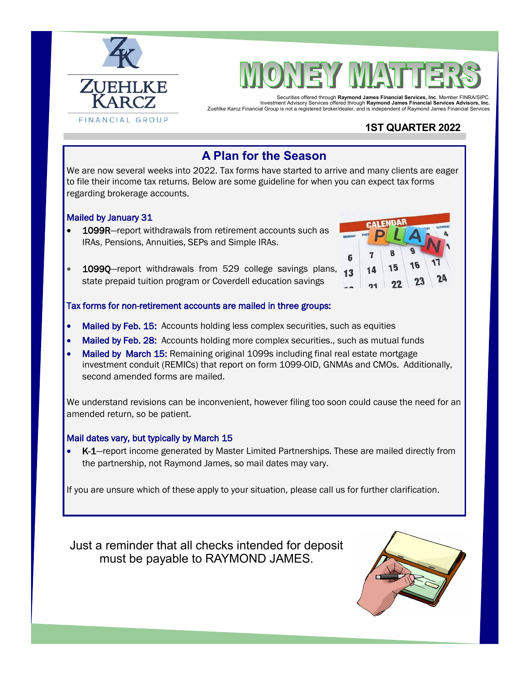



Securities offered through **Raymond James Financial Services, Inc**. Member FINRA/SIPC. Investment Advisory Services offered through **Raymond James Financial Services Advisors, Inc.**  Zuehlke Karcz Financial Group is not a registered broker/dealer, and is independent of Raymond James Financial Services

### **1ST QUARTER 2022**

# **A Plan for the Season**

We are now several weeks into 2022. Tax forms have started to arrive and many clients are eager to file their income tax returns. Below are some guideline for when you can expect tax forms regarding brokerage accounts.

#### Mailed by January 31

- 1099R-report withdrawals from retirement accounts such as IRAs, Pensions, Annuities, SEPs and Simple IRAs.
- 10990–report withdrawals from 529 college savings plans, state prepaid tuition program or Coverdell education savings



#### Tax forms for non-retirement accounts are mailed in three groups:

- Mailed by Feb. 15: Accounts holding less complex securities, such as equities
- Mailed by Feb. 28: Accounts holding more complex securities., such as mutual funds
- Mailed by March 15: Remaining original 1099s including final real estate mortgage investment conduit (REMICs) that report on form 1099-OID, GNMAs and CMOs. Additionally, second amended forms are mailed.

We understand revisions can be inconvenient, however filing too soon could cause the need for an amended return, so be patient.

#### Mail dates vary, but typically by March 15

• K-1—report income generated by Master Limited Partnerships. These are mailed directly from the partnership, not Raymond James, so mail dates may vary.

If you are unsure which of these apply to your situation, please call us for further clarification.

Just a reminder that all checks intended for deposit must be payable to RAYMOND JAMES.

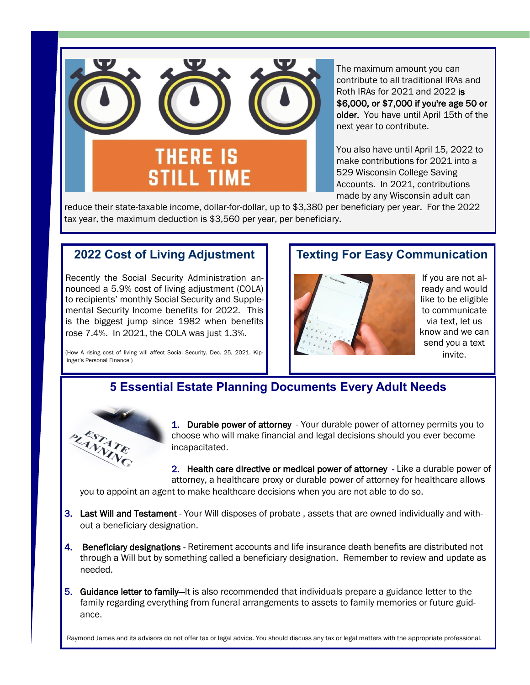

The maximum amount you can contribute to all traditional IRAs and Roth IRAs for 2021 and 2022 is \$6,000, or \$7,000 if you're age 50 or older. You have until April 15th of the next year to contribute.

You also have until April 15, 2022 to make contributions for 2021 into a 529 Wisconsin College Saving Accounts. In 2021, contributions made by any Wisconsin adult can

reduce their state-taxable income, dollar-for-dollar, up to \$3,380 per beneficiary per year. For the 2022 tax year, the maximum deduction is \$3,560 per year, per beneficiary.

### **2022 Cost of Living Adjustment**

Recently the Social Security Administration announced a 5.9% cost of living adjustment (COLA) to recipients' monthly Social Security and Supplemental Security Income benefits for 2022. This is the biggest jump since 1982 when benefits rose 7.4%. In 2021, the COLA was just 1.3%.

(How A rising cost of living will affect Social Security. Dec. 25, 2021. Kiplinger's Personal Finance )

### **Texting For Easy Communication**



If you are not already and would like to be eligible to communicate via text, let us know and we can send you a text invite.

# **5 Essential Estate Planning Documents Every Adult Needs**



1. Durable power of attorney - Your durable power of attorney permits you to choose who will make financial and legal decisions should you ever become incapacitated.

2. Health care directive or medical power of attorney - Like a durable power of attorney, a healthcare proxy or durable power of attorney for healthcare allows

you to appoint an agent to make healthcare decisions when you are not able to do so.

- 3. Last Will and Testament Your Will disposes of probate , assets that are owned individually and without a beneficiary designation.
- 4. Beneficiary designations Retirement accounts and life insurance death benefits are distributed not through a Will but by something called a beneficiary designation. Remember to review and update as needed.
- 5. Guidance letter to family—It is also recommended that individuals prepare a guidance letter to the family regarding everything from funeral arrangements to assets to family memories or future guidance.

Raymond James and its advisors do not offer tax or legal advice. You should discuss any tax or legal matters with the appropriate professional.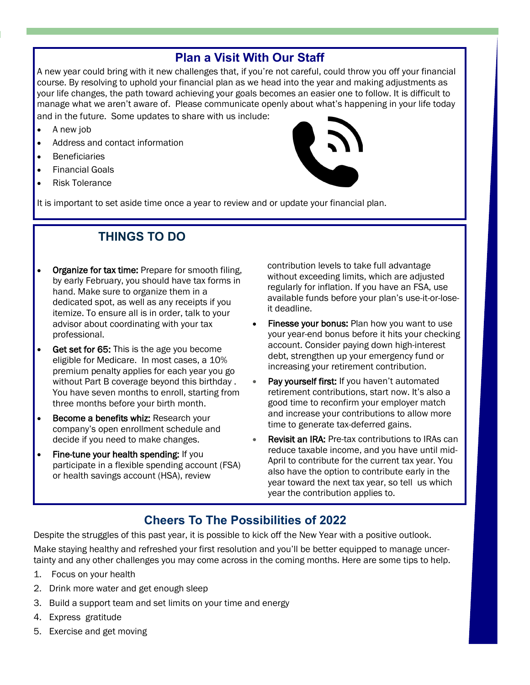# **Plan a Visit With Our Staff**

A new year could bring with it new challenges that, if you're not careful, could throw you off your financial course. By resolving to uphold your financial plan as we head into the year and making adjustments as your life changes, the path toward achieving your goals becomes an easier one to follow. It is difficult to manage what we aren't aware of. Please communicate openly about what's happening in your life today and in the future. Some updates to share with us include:

- A new job
- Address and contact information
- **Beneficiaries**
- Financial Goals
- Risk Tolerance

It is important to set aside time once a year to review and or update your financial plan.

# **THINGS TO DO**

- Organize for tax time: Prepare for smooth filing, by early February, you should have tax forms in hand. Make sure to organize them in a dedicated spot, as well as any receipts if you itemize. To ensure all is in order, talk to your advisor about coordinating with your tax professional.
- Get set for 65: This is the age you become eligible for Medicare. In most cases, a 10% premium penalty applies for each year you go without Part B coverage beyond this birthday . You have seven months to enroll, starting from three months before your birth month.
- Become a benefits whiz: Research your company's open enrollment schedule and decide if you need to make changes.
- Fine-tune your health spending: If you participate in a flexible spending account (FSA) or health savings account (HSA), review

contribution levels to take full advantage without exceeding limits, which are adjusted regularly for inflation. If you have an FSA, use available funds before your plan's use-it-or-loseit deadline.

- Finesse your bonus: Plan how you want to use your year-end bonus before it hits your checking account. Consider paying down high-interest debt, strengthen up your emergency fund or increasing your retirement contribution.
- Pay yourself first: If you haven't automated retirement contributions, start now. It's also a good time to reconfirm your employer match and increase your contributions to allow more time to generate tax-deferred gains.
- **Revisit an IRA: Pre-tax contributions to IRAs can** reduce taxable income, and you have until mid-April to contribute for the current tax year. You also have the option to contribute early in the year toward the next tax year, so tell us which year the contribution applies to.

# **Cheers To The Possibilities of 2022**

Despite the struggles of this past year, it is possible to kick off the New Year with a positive outlook.

Make staying healthy and refreshed your first resolution and you'll be better equipped to manage uncertainty and any other challenges you may come across in the coming months. Here are some tips to help.

- 1. Focus on your health
- 2. Drink more water and get enough sleep
- 3. Build a support team and set limits on your time and energy
- 4. Express gratitude
- 5. Exercise and get moving